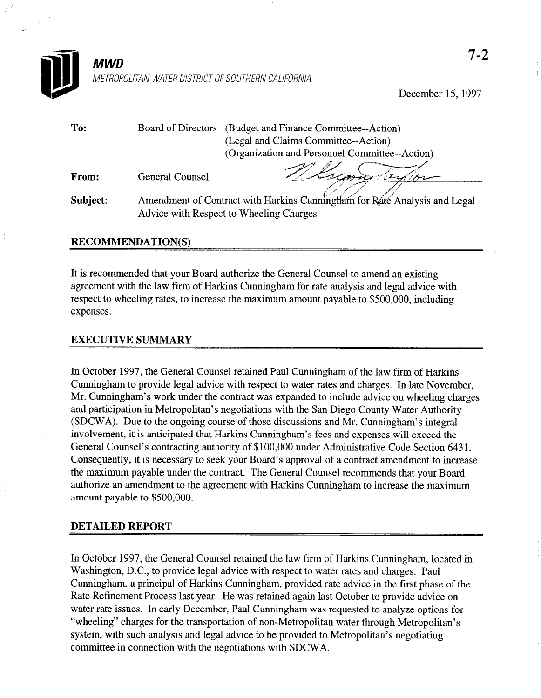

December 15, 1997

| To:      |                                                                           | Board of Directors (Budget and Finance Committee--Action) |
|----------|---------------------------------------------------------------------------|-----------------------------------------------------------|
|          |                                                                           | (Legal and Claims Committee--Action)                      |
|          |                                                                           | (Organization and Personnel Committee--Action)            |
| From:    | <b>General Counsel</b>                                                    |                                                           |
| Subject: | Amendment of Contract with Harkins Cunningham for Rate Analysis and Legal |                                                           |
|          |                                                                           | Advice with Respect to Wheeling Charges                   |

## RECOMMENDATION(S)

It is recommended that your Board authorize the General Counsel to amend an existing agreement with the law firm of Harkins Cunningham for rate analysis and legal advice with respect to wheeling rates, to increase the maximum amount payable to \$500,000, including expenses.

## EXECUTIVE SUMMARY

In October 1997, the General Counsel retained Paul Cunningham of the law firm of Harkins Cunningham to provide legal advice with respect to water rates and charges. In late November, Mr. Cunningham's work under the contract was expanded to include advice on wheeling charges and participation in Metropolitan's negotiations with the San Diego County Water Authority (SDCWA). Due to the ongoing course of those discussions and Mr. Cunningham's integral involvement, it is anticipated that Harkins Cunningham's fees and expenses will exceed the General Counsel's contracting authority of \$100,000 under Administrative Code Section 6431. Consequently, it is necessary to seek your Board's approval of a contract amendment to increase the maximum payable under the contract. The General Counsel recommends that your Board authorize an amendment to the agreement with Harkins Cunningham to increase the maximum amount payable to \$500,000.

## DETAILED REPORT

In October 1997, the General Counsel retained the law firm of Harkins Cunningham, located in Washington, D.C., to provide legal advice with respect to water rates and charges. Paul Cunningham, a principal of Harkins Cunningham, provided rate advice in the first phase of the Rate Refinement Process last year. He was retained again last October to provide advice on water rate issues. In early December, Paul Cunningham was requested to analyze options for "wheeling" charges for the transportation of non-Metropolitan water through Metropolitan's system, with such analysis and legal advice to be provided to be provided to be provided to  $\frac{1}{2}$ . committee in committee in connection with the negotiation with SDCWA.